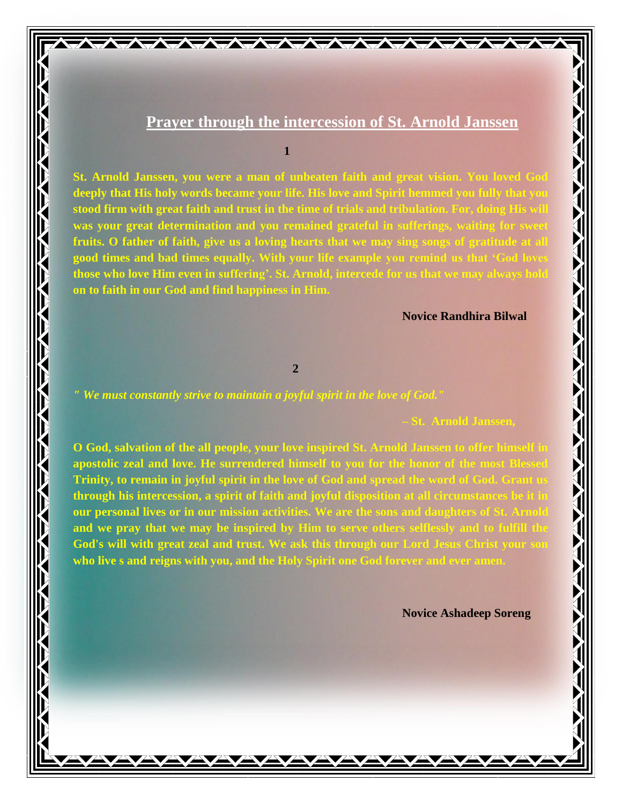# **Prayer through the intercession of St. Arnold Janssen**

**ATATATATATAT** 

# **1**

**St. Arnold Janssen, you were a man of unbeaten faith and great vision. You loved God deeply that His holy words became your life. His love and Spirit hemmed you fully that you stood firm with great faith and trust in the time of trials and tribulation. For, doing His will was your great determination and you remained grateful in sufferings, waiting for sweet fruits. O father of faith, give us a loving hearts that we may sing songs of gratitude at all good times and bad times equally. With your life example you remind us that 'God loves those who love Him even in suffering'. St. Arnold, intercede for us that we may always hold on to faith in our God and find happiness in Him.**

## **Novice Randhira Bilwal**

# **2**

*" We must constantly strive to maintain a joyful spirit in the love of God."*

#### **– St. Arnold Janssen,**

**O God, salvation of the all people, your love inspired St. Arnold Janssen to offer himself in**  apostolic zeal and love. He surrendered himself to you for the honor of the most Ble **Trinity, to remain in joyful spirit in the love of God and spread the word of God. Grant us through his intercession, a spirit of faith and joyful disposition at all circumstances be it in our personal lives or in our mission activities. We are the sons and daughters of St. Arnold**  and we pray that we may be inspired by Him to serve others selflessly and to fulfill the **God's will with great zeal and trust. We ask this through our Lord Jesus Christ your son who live s and reigns with you, and the Holy Spirit one God forever and ever amen.**

**Novice Ashadeep Soreng**